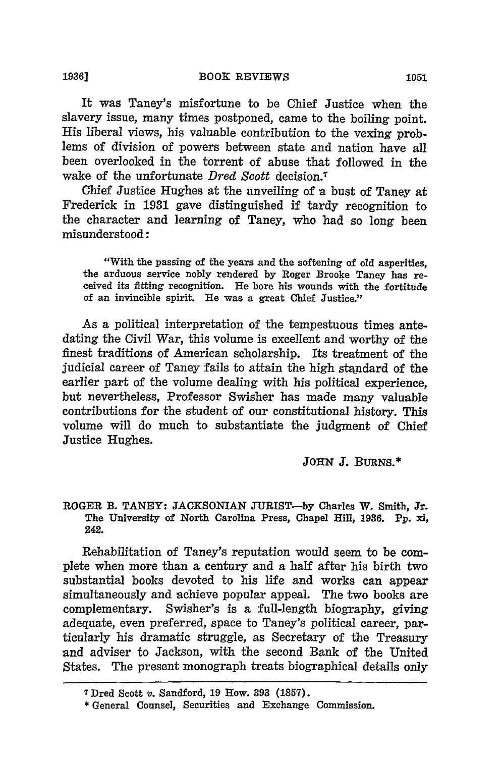It was Taney's misfortune to be Chief Justice when the slavery issue, many times postponed, came to the boiling point. His liberal views, his valuable contribution to the vexing problems of division of powers between state and nation have all been overlooked in the torrent of abuse that followed in the wake of the unfortunate *Dred Scott* decision.7

Chief Justice Hughes at the unveiling of a bust of Taney at Frederick in 1931 gave distinguished if tardy recognition to the character and learning of Taney, who had so long been misunderstood:

"With the passing of the years and the softening of old asperities, the arduous service nobly rendered by Roger Brooke Taney has received its fitting recognition. He bore his wounds with the fortitude of an invincible spirit. He was a great Chief Justice."

As a political interpretation of the tempestuous times antedating the Civil War, this volume is excellent and worthy of the finest traditions of American scholarship. Its treatment of the judicial career of Taney fails to attain the high standard of the earlier part of the volume dealing with his political experience, but nevertheless, Professor Swisher has made many valuable contributions for the student of our constitutional history. This volume will do much to substantiate the judgment of Chief Justice Hughes.

JOHN *J.* BURNS.\*

ROGER **B. TANEY: JACKSONIAN JURIST-by** Charles W. Smith, Jr. The University of North Carolina Press, Chapel Hill, **1936. Pp.** *xi,* **242.**

Rehabilitation of Taney's reputation would seem to be complete when more than a century and a half after his birth two substantial books devoted to his life and works can appear simultaneously and achieve popular appeal. The two books are complementary. Swisher's is a full-length biography, giving adequate, even preferred, space to Taney's political career, particularly his dramatic struggle, as Secretary of the Treasury and adviser to Jackson, with the second Bank of the United States. The present monograph treats biographical details only

**<sup>7</sup>**Dred Scott v. Sandford, **19** How. **393 (1857).**

<sup>\*</sup> General Counsel, Securities and Exchange Commission.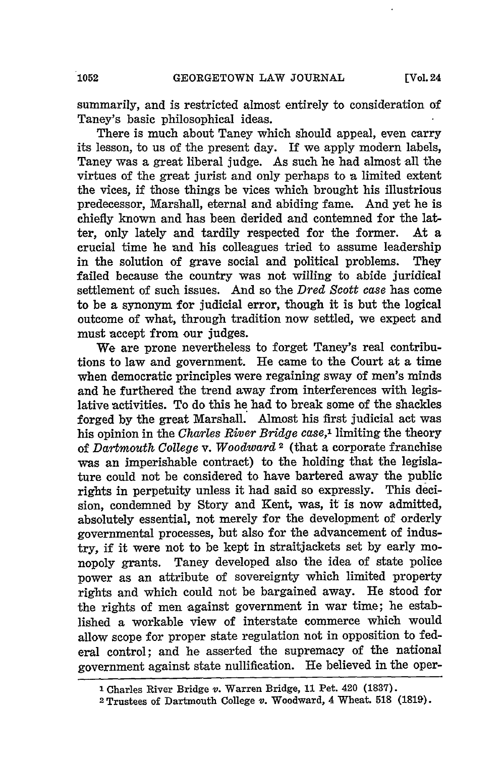summarily, and is restricted almost entirely to consideration of Taney's basic philosophical ideas.

There is much about Taney which should appeal, even carry its lesson, to us of the present day. If we apply modern labels, Taney was a great liberal judge. As such he had almost all the virtues of the great jurist and only perhaps to a limited extent the vices, if those things be vices which brought his illustrious predecessor, Marshall, eternal and abiding fame. And yet he is chiefly known and has been derided and contemned for the latter, only lately and tardily respected for the former. At a crucial time he and his colleagues tried to assume leadership in the solution of grave social and political problems. They failed because the country was not willing to abide juridical settlement of such issues. And so the *Dred Scott case* has come to be a synonym for judicial error, though it is but the logical outcome of what, through tradition now settled, we expect and must accept from our judges.

We are prone nevertheless to forget Taney's real contributions to law and government. **He** came to the Court at a time when democratic principles were regaining sway of men's minds and he furthered the trend away from interferences with legislative activities. To do this he had to break some of the shackles forged **by** the great Marshall. Almost his first judicial act was his opinion in the *Charles River Bridge case,1* limiting the theory of *Dartmouth College v. Woodward 2* (that a corporate franchise was an imperishable contract) to the holding that the legislature could not be considered to have bartered away the public rights in perpetuity unless it had said so expressly. This decision, condemned by Story and Kent, was, it is now admitted, absolutely essential, not merely for the development of orderly governmental processes, but also for the advancement of industry, if it were not to be kept in straitjackets set by early monopoly grants. Taney developed also the idea of state police power as an attribute of sovereignty which limited property rights and which could not be bargained away. He stood for the rights of men against government in war time; he established a workable view of interstate commerce which would allow scope for proper state regulation not in opposition to federal control; and he asserted the supremacy of the national government against state nullification. He believed in the oper-

**I** Charles River Bridge v. Warren Bridge, **11** Pet. 420 **(1837).**

<sup>2</sup>**Trustees** of Dartmouth College v. Woodward, 4 Wheat. **518 (181).**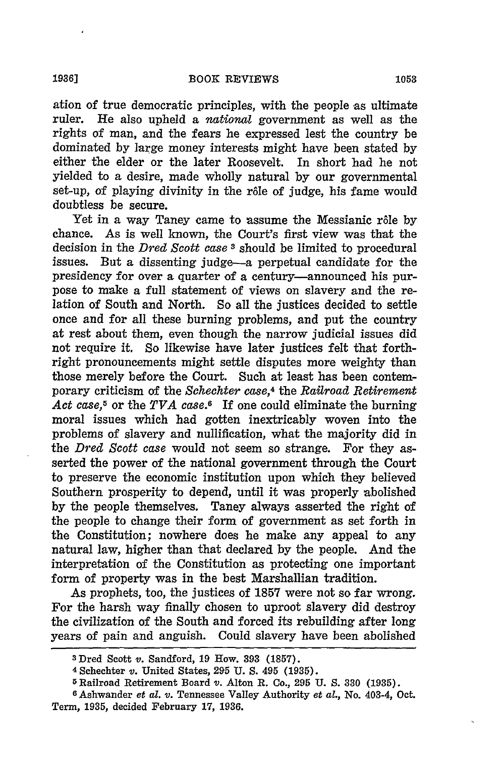ation of true democratic principles, with the people as ultimate ruler. **He** also upheld a *national* government as well as the rights of man, and the fears he expressed lest the country be dominated **by** large money interests might have been stated **by** either the elder or the later Roosevelt. In short had he not yielded to a desire, made wholly natural **by** our governmental set-up, of playing divinity in the rôle of judge, his fame would doubtless be secure.

Yet in a way Taney came to assume the Messianic rôle by chance. As is well known, the Court's first view was that the decision in the *Dred Scott case* 3 should be limited to procedural issues. But a dissenting judge-a perpetual candidate for the presidency for over a quarter of a century-announced his purpose to make a full statement of views on slavery and the relation of South and North. So all the justices decided to settle once and for all these burning problems, and put the country at rest about them, even though the narrow judicial issues did not require it, So likewise have later justices felt that forthright pronouncements might settle disputes more weighty than those merely before the Court. Such at least has been contemporary criticism of the *Schechter case,4* the *Railroad Retirement Act case,5* or the *TVA case.6* If one could eliminate the burning moral issues which had gotten inextricably woven into the problems of slavery and nullification, what the majority did in the *Dred Scott case* would not seem so strange. For they asserted the power of the national government through the Court to preserve the economic institution upon which they believed Southern prosperity to depend, until it was properly abolished **by** the people themselves. Taney always asserted the right of the people to change their form of government as set forth in the Constitution; nowhere does he make any appeal to any natural law, higher than that declared **by** the people. And the interpretation of the Constitution as protecting one important form of property was in the best Marshallian tradition.

As prophets, too, the justices of **1857** were not so far wrong. For the harsh way finally chosen to uproot slavery did destroy the civilization of the South and forced its rebuilding after long years of pain and anguish. Could slavery have been abolished

<sup>3</sup> Dred Scott *v.* Sandford, **19** How. **393 (1857).**

**<sup>4</sup>**Schechter *v.* United States, **295 U. S.** 495 **(1935).**

**<sup>5</sup>**Railroad Retirement Board v. Alton R. Co., 295 **U.** *S.* **330 (1935).**

**<sup>6</sup>** Ashwander *et al. v.* Tennessee Valley Authority *et al.,* No. 403-4, Oct. Term, **1935,** decided February **17, 1936.**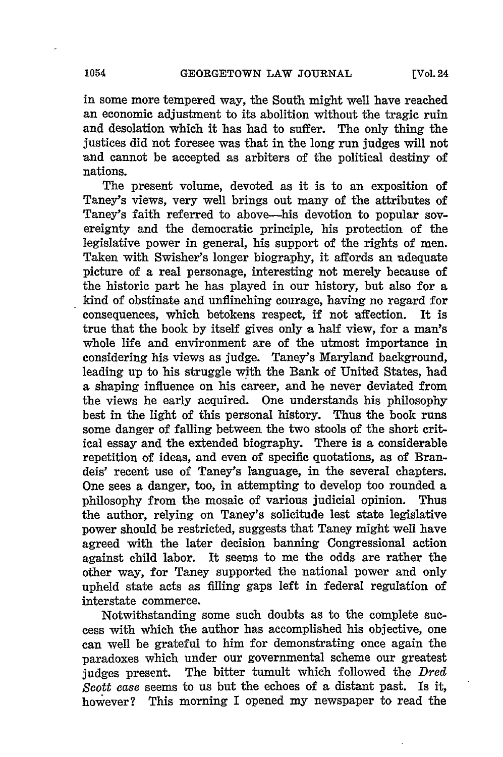in some more tempered way, the South might well have reached an economic adjustment to its abolition without the tragic ruin and desolation which it has had to suffer. The only thing the justices did not foresee was that in the long run judges will not and cannot be accepted as arbiters of the political destiny of nations.

The present volume, devoted as it is to an exposition of Taney's views, very well brings out many of the attributes of Taney's faith referred to above-his devotion to popular sovereignty and the democratic principle, his protection of the legislative power in general, his support of the rights of men. Taken with Swisher's longer biography, it affords an adequate picture of a real personage, interesting not merely because of the historic part he has played in our history, but also for a kind of obstinate and unflinching courage, having no regard for consequences, which betokens respect, if not affection. It is true that the book **by** itself gives only a half view, for a man's whole life and environment are of the utmost importance in considering his views as judge. Taney's Maryland background, leading up to his struggle with the Bank of United States, had a shaping influence on his career, and he never deviated from the views he early acquired. One understands his philosophy best in the light of this personal history. Thus the book runs some danger of falling between the two stools of the short critical essay and the extended biography. There is a considerable repetition of ideas, and even of specific quotations, as of Brandeis' recent use of Taney's language, in the several chapters. One sees a danger, too, in attempting to develop too rounded a philosophy from the mosaic of various judicial opinion. Thus the author, relying on Taney's solicitude lest state legislative power should be restricted, suggests that Taney might well have agreed with the later decision banning Congressional action against child labor. It seems to me the odds are rather the other way, for Taney supported the national power and only upheld state acts as filling gaps left in federal regulation of interstate commerce.

Notwithstanding some such doubts as to the complete success with which the author has accomplished his objective, one can well be grateful to him for demonstrating once again the paradoxes which under our governmental scheme our greatest judges present. The bitter tumult which followed the *Dred Scott case* seems to us but the echoes of a distant past. Is it, however? This morning I opened my newspaper to read the